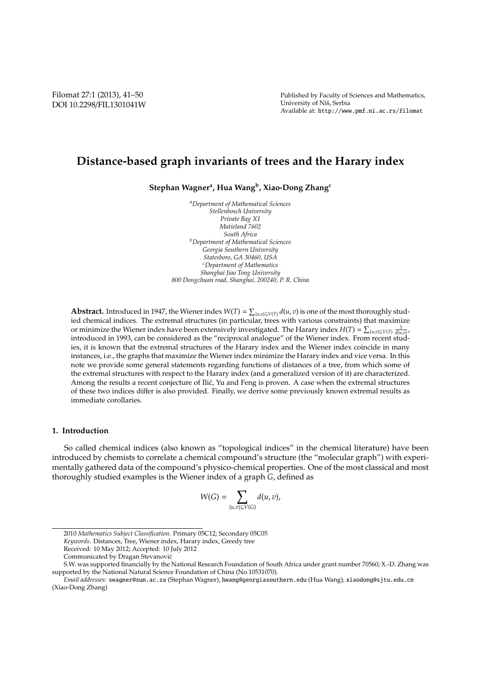# **Distance-based graph invariants of trees and the Harary index**

**Stephan Wagner<sup>a</sup> , Hua Wang<sup>b</sup> , Xiao-Dong Zhang<sup>c</sup>**

*<sup>a</sup>Department of Mathematical Sciences Stellenbosch University Private Bag X1 Matieland 7602 South Africa <sup>b</sup>Department of Mathematical Sciences Georgia Southern University Statesboro, GA 30460, USA <sup>c</sup>Department of Mathematics Shanghai Jiao Tong University 800 Dongchuan road, Shanghai, 200240, P. R. China*

**Abstract.** Introduced in 1947, the Wiener index  $W(T) = \sum_{\{u,v\} \subseteq V(T)} d(u,v)$  is one of the most thoroughly studied chemical indices. The extremal structures (in particular, trees with various constraints) that maximize or minimize the Wiener index have been extensively investigated. The Harary index  $H(T) = \sum_{\{u,v\} \subseteq V(T)} \frac{1}{d(u,v)}$ introduced in 1993, can be considered as the "reciprocal analogue" of the Wiener index. From recent studies, it is known that the extremal structures of the Harary index and the Wiener index coincide in many instances, i.e., the graphs that maximize the Wiener index minimize the Harary index and vice versa. In this note we provide some general statements regarding functions of distances of a tree, from which some of the extremal structures with respect to the Harary index (and a generalized version of it) are characterized. Among the results a recent conjecture of Ilić, Yu and Feng is proven. A case when the extremal structures of these two indices differ is also provided. Finally, we derive some previously known extremal results as immediate corollaries.

# **1. Introduction**

So called chemical indices (also known as "topological indices" in the chemical literature) have been introduced by chemists to correlate a chemical compound's structure (the "molecular graph") with experimentally gathered data of the compound's physico-chemical properties. One of the most classical and most thoroughly studied examples is the Wiener index of a graph *G*, defined as

$$
W(G) = \sum_{\{u,v\} \subseteq V(G)} d(u,v),
$$

<sup>2010</sup> *Mathematics Subject Classification*. Primary 05C12; Secondary 05C05

*Keywords*. Distances, Tree, Wiener index, Harary index, Greedy tree

Received: 10 May 2012; Accepted: 10 July 2012

Communicated by Dragan Stevanovic´

S.W. was supported financially by the National Research Foundation of South Africa under grant number 70560; X.-D. Zhang was supported by the National Natural Science Foundation of China (No.10531070).

*Email addresses:* swagner@sun.ac.za (Stephan Wagner), hwang@georgiasouthern.edu (Hua Wang), xiaodong@sjtu.edu.cn (Xiao-Dong Zhang)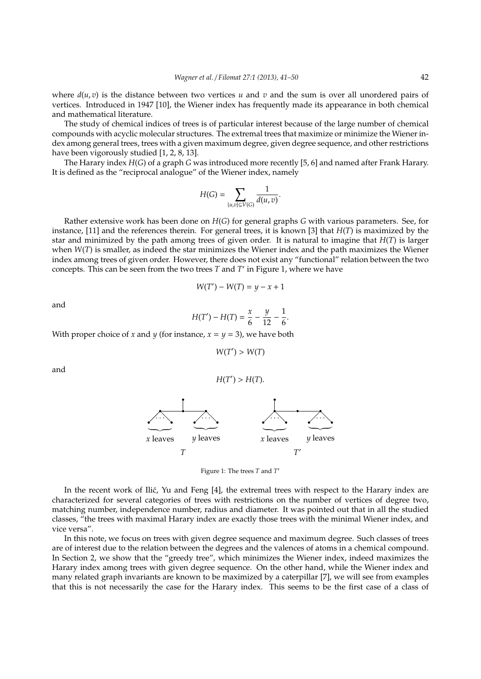where  $d(u, v)$  is the distance between two vertices *u* and *v* and the sum is over all unordered pairs of vertices. Introduced in 1947 [10], the Wiener index has frequently made its appearance in both chemical and mathematical literature.

The study of chemical indices of trees is of particular interest because of the large number of chemical compounds with acyclic molecular structures. The extremal trees that maximize or minimize the Wiener index among general trees, trees with a given maximum degree, given degree sequence, and other restrictions have been vigorously studied [1, 2, 8, 13].

The Harary index *H*(*G*) of a graph *G* was introduced more recently [5, 6] and named after Frank Harary. It is defined as the "reciprocal analogue" of the Wiener index, namely

$$
H(G) = \sum_{\{u,v\} \subseteq V(G)} \frac{1}{d(u,v)}.
$$

Rather extensive work has been done on *H*(*G*) for general graphs *G* with various parameters. See, for instance, [11] and the references therein. For general trees, it is known [3] that *H*(*T*) is maximized by the star and minimized by the path among trees of given order. It is natural to imagine that *H*(*T*) is larger when *W*(*T*) is smaller, as indeed the star minimizes the Wiener index and the path maximizes the Wiener index among trees of given order. However, there does not exist any "functional" relation between the two concepts. This can be seen from the two trees *T* and *T* ′ in Figure 1, where we have

$$
W(T') - W(T) = y - x + 1
$$

and

$$
H(T') - H(T) = \frac{x}{6} - \frac{y}{12} - \frac{1}{6}.
$$

With proper choice of *x* and *y* (for instance,  $x = y = 3$ ), we have both

 $W(T') > W(T)$ 

and





Figure 1: The trees *T* and *T* ′

In the recent work of Ilić, Yu and Feng  $[4]$ , the extremal trees with respect to the Harary index are characterized for several categories of trees with restrictions on the number of vertices of degree two, matching number, independence number, radius and diameter. It was pointed out that in all the studied classes, "the trees with maximal Harary index are exactly those trees with the minimal Wiener index, and vice versa".

In this note, we focus on trees with given degree sequence and maximum degree. Such classes of trees are of interest due to the relation between the degrees and the valences of atoms in a chemical compound. In Section 2, we show that the "greedy tree", which minimizes the Wiener index, indeed maximizes the Harary index among trees with given degree sequence. On the other hand, while the Wiener index and many related graph invariants are known to be maximized by a caterpillar [7], we will see from examples that this is not necessarily the case for the Harary index. This seems to be the first case of a class of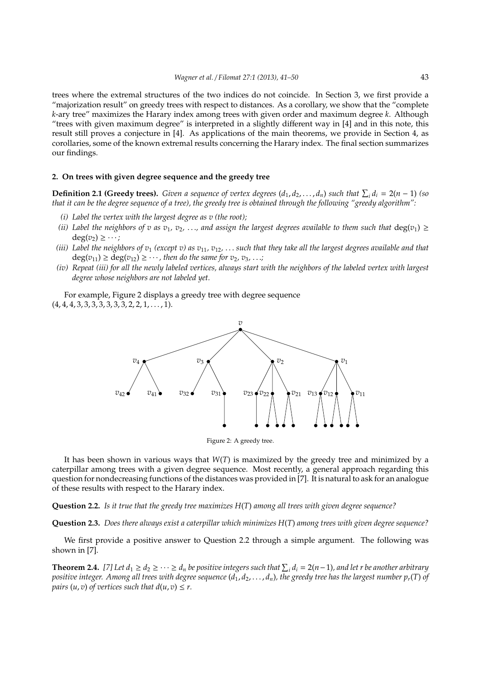trees where the extremal structures of the two indices do not coincide. In Section 3, we first provide a "majorization result" on greedy trees with respect to distances. As a corollary, we show that the "complete *k*-ary tree" maximizes the Harary index among trees with given order and maximum degree *k*. Although "trees with given maximum degree" is interpreted in a slightly different way in [4] and in this note, this result still proves a conjecture in [4]. As applications of the main theorems, we provide in Section 4, as corollaries, some of the known extremal results concerning the Harary index. The final section summarizes our findings.

### **2. On trees with given degree sequence and the greedy tree**

**Definition 2.1 (Greedy trees).** Given a sequence of vertex degrees  $(d_1, d_2, \ldots, d_n)$  such that  $\sum_i d_i = 2(n-1)$  (so *that it can be the degree sequence of a tree), the greedy tree is obtained through the following "greedy algorithm":*

- *(i) Label the vertex with the largest degree as v (the root);*
- *(ii)* Label the neighbors of v as  $v_1, v_2, \ldots$ , and assign the largest degrees available to them such that  $deg(v_1) \geq$  $deg(v_2) \geq \cdots;$
- *(iii) Label the neighbors of v*<sup>1</sup> *(except v) as v*11*, v*12*,* . . . *such that they take all the largest degrees available and that*  $deg(v_{11}) \geq deg(v_{12}) \geq \cdots$ , then do the same for  $v_2, v_3, \ldots$ ;
- *(iv) Repeat (iii) for all the newly labeled vertices, always start with the neighbors of the labeled vertex with largest degree whose neighbors are not labeled yet.*

For example, Figure 2 displays a greedy tree with degree sequence  $(4, 4, 4, 3, 3, 3, 3, 3, 3, 3, 2, 2, 1, \ldots, 1).$ 



Figure 2: A greedy tree.

It has been shown in various ways that *W*(*T*) is maximized by the greedy tree and minimized by a caterpillar among trees with a given degree sequence. Most recently, a general approach regarding this question for nondecreasing functions of the distances was provided in [7]. It is natural to ask for an analogue of these results with respect to the Harary index.

### **Question 2.2.** *Is it true that the greedy tree maximizes H*(*T*) *among all trees with given degree sequence?*

**Question 2.3.** *Does there always exist a caterpillar which minimizes H*(*T*) *among trees with given degree sequence?*

We first provide a positive answer to Question 2.2 through a simple argument. The following was shown in [7].

**Theorem 2.4.** [7] Let  $d_1 \geq d_2 \geq \cdots \geq d_n$  be positive integers such that  $\sum_i d_i = 2(n-1)$ , and let r be another arbitrary *positive integer. Among all trees with degree sequence*  $(d_1, d_2, \ldots, d_n)$ , the greedy tree has the largest number  $p_r(T)$  of *pairs*  $(u, v)$  *of vertices such that*  $d(u, v) \leq r$ .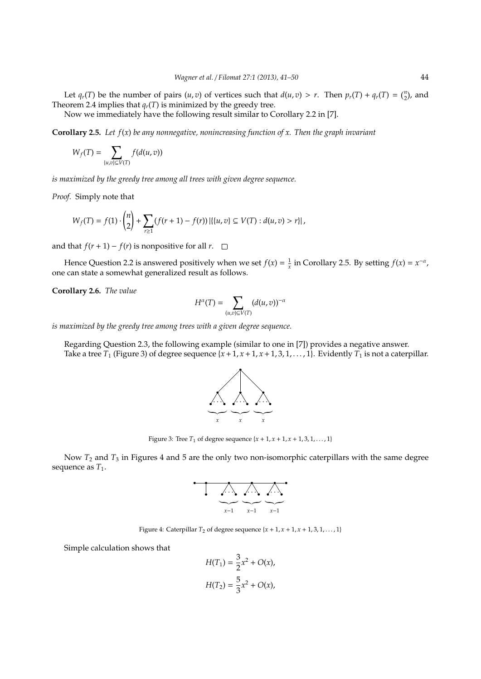Let  $q_r(T)$  be the number of pairs  $(u, v)$  of vertices such that  $d(u, v) > r$ . Then  $p_r(T) + q_r(T) = \binom{n}{2}$ , and Theorem 2.4 implies that  $q_r(T)$  is minimized by the greedy tree.

Now we immediately have the following result similar to Corollary 2.2 in [7].

**Corollary 2.5.** *Let f*(*x*) *be any nonnegative, nonincreasing function of x. Then the graph invariant*

$$
W_f(T)=\sum_{\{u,v\}\subseteq V(T)}f(d(u,v))
$$

*is maximized by the greedy tree among all trees with given degree sequence.*

*Proof.* Simply note that

$$
W_f(T) = f(1) \cdot {n \choose 2} + \sum_{r \ge 1} (f(r+1) - f(r)) | \{ \{u, v\} \subseteq V(T) : d(u, v) > r \} |,
$$

and that *f*(*r* + 1) − *f*(*r*) is nonpositive for all *r*.  $□$ 

Hence Question 2.2 is answered positively when we set  $f(x) = \frac{1}{x}$  in Corollary 2.5. By setting  $f(x) = x^{-\alpha}$ , one can state a somewhat generalized result as follows.

**Corollary 2.6.** *The value*

$$
H^{\alpha}(T)=\sum_{(u,v)\subseteq V(T)}(d(u,v))^{-\alpha}
$$

*is maximized by the greedy tree among trees with a given degree sequence.*

Regarding Question 2.3, the following example (similar to one in [7]) provides a negative answer. Take a tree  $T_1$  (Figure 3) of degree sequence  $\{x+1, x+1, x+1, 3, 1, \ldots, 1\}$ . Evidently  $T_1$  is not a caterpillar.



Figure 3: Tree  $T_1$  of degree sequence  $\{x + 1, x + 1, x + 1, 3, 1, ..., 1\}$ 

Now *T*<sup>2</sup> and *T*<sup>3</sup> in Figures 4 and 5 are the only two non-isomorphic caterpillars with the same degree sequence as  $T_1$ .

$$
\begin{array}{c}\n\begin{array}{ccc}\n\bullet & \bullet & \bullet \\
\bullet & \bullet & \bullet \\
\hline\n\end{array}\n\end{array}
$$

Figure 4: Caterpillar  $T_2$  of degree sequence  $\{x + 1, x + 1, x + 1, 3, 1, \ldots, 1\}$ 

Simple calculation shows that

$$
H(T_1) = \frac{3}{2}x^2 + O(x),
$$
  

$$
H(T_2) = \frac{5}{3}x^2 + O(x),
$$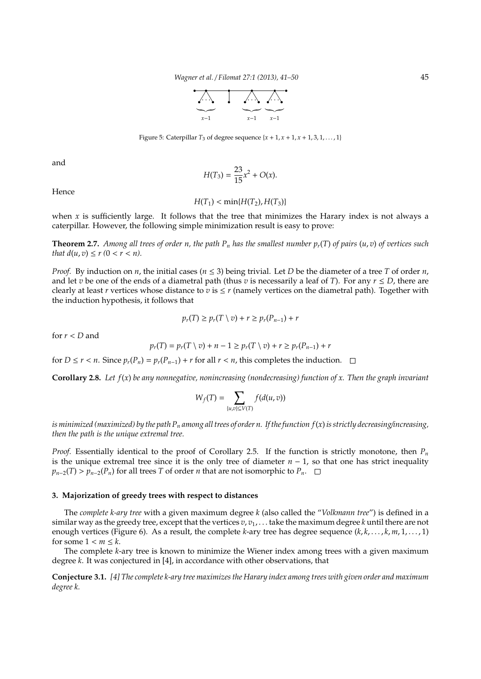*Wagner et al.* / *Filomat 27:1 (2013), 41–50* 45



Figure 5: Caterpillar  $T_3$  of degree sequence  $\{x+1, x+1, x+1, 3, 1, \ldots, 1\}$ 

and

$$
H(T_3) = \frac{23}{15}x^2 + O(x).
$$

Hence

$$
H(T_1) < \min\{H(T_2), H(T_3)\}
$$

when  $x$  is sufficiently large. It follows that the tree that minimizes the Harary index is not always a caterpillar. However, the following simple minimization result is easy to prove:

**Theorem 2.7.** *Among all trees of order n, the path P<sub>n</sub> has the smallest number*  $p_r(T)$  *of pairs*  $(u, v)$  *of vertices such that*  $d(u, v) \le r (0 < r < n)$ *.* 

*Proof.* By induction on *n*, the initial cases ( $n \leq 3$ ) being trivial. Let *D* be the diameter of a tree *T* of order *n*, and let *v* be one of the ends of a diametral path (thus *v* is necessarily a leaf of *T*). For any  $r \le D$ , there are clearly at least *r* vertices whose distance to *v* is  $\leq r$  (namely vertices on the diametral path). Together with the induction hypothesis, it follows that

$$
p_r(T) \ge p_r(T \setminus v) + r \ge p_r(P_{n-1}) + r
$$

for  $r < D$  and

$$
p_r(T) = p_r(T \setminus v) + n - 1 \ge p_r(T \setminus v) + r \ge p_r(P_{n-1}) + r
$$

for *D* ≤ *r* < *n*. Since  $p_r(P_n) = p_r(P_{n-1}) + r$  for all *r* < *n*, this completes the induction.  $□$ 

**Corollary 2.8.** *Let f*(*x*) *be any nonnegative, nonincreasing (nondecreasing) function of x. Then the graph invariant*

$$
W_f(T) = \sum_{\{u,v\} \subseteq V(T)} f(d(u,v))
$$

*is minimized (maximized) by the path P<sup>n</sup> among all trees of order n. If the function f*(*x*)*is strictly decreasing*/*increasing, then the path is the unique extremal tree.*

*Proof.* Essentially identical to the proof of Corollary 2.5. If the function is strictly monotone, then  $P_n$ is the unique extremal tree since it is the only tree of diameter *n* − 1, so that one has strict inequality  $p_{n-2}(T) > p_{n-2}(P_n)$  for all trees *T* of order *n* that are not isomorphic to  $P_n$ .  $\Box$ 

## **3. Majorization of greedy trees with respect to distances**

The *complete k-ary tree* with a given maximum degree *k* (also called the "*Volkmann tree*") is defined in a similar way as the greedy tree, except that the vertices  $v, v_1, \ldots$  take the maximum degree *k* until there are not enough vertices (Figure 6). As a result, the complete *k*-ary tree has degree sequence (*k*, *k*, . . . , *k*, *m*, 1, . . . , 1) for some  $1 < m \leq k$ .

The complete *k*-ary tree is known to minimize the Wiener index among trees with a given maximum degree *k*. It was conjectured in [4], in accordance with other observations, that

**Conjecture 3.1.** *[4] The complete k-ary tree maximizes the Harary index among trees with given order and maximum degree k.*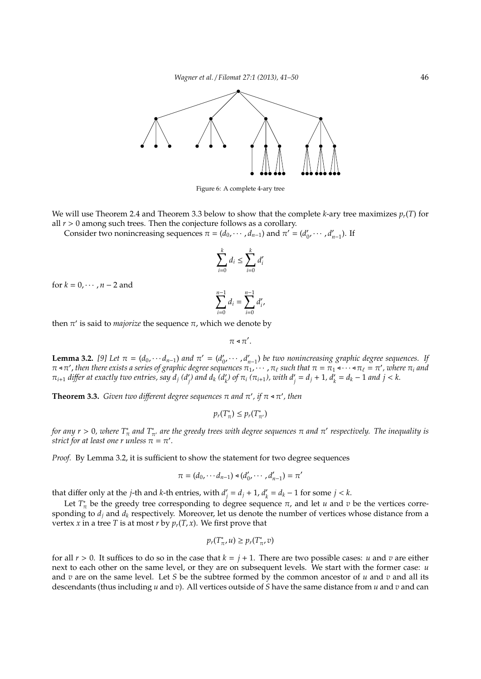

Figure 6: A complete 4-ary tree

We will use Theorem 2.4 and Theorem 3.3 below to show that the complete *k*-ary tree maximizes *pr*(*T*) for all  $r > 0$  among such trees. Then the conjecture follows as a corollary.

Consider two nonincreasing sequences  $\pi = (d_0, \dots, d_{n-1})$  and  $\pi' = (d'_0, \dots, d'_{n-1})$ . If

$$
\sum_{i=0}^k d_i \le \sum_{i=0}^k d'_i
$$

for  $k = 0, \cdots, n-2$  and

$$
\sum_{i=0}^{n-1} d_i = \sum_{i=0}^{n-1} d'_i,
$$

then  $π'$  is said to *majorize* the sequence  $π$ , which we denote by

 $\pi \triangleleft \pi'$ .

**Lemma 3.2.** [9] Let  $\pi = (d_0, \dots, d_{n-1})$  and  $\pi' = (d'_0, \dots, d'_{n-1})$  be two nonincreasing graphic degree sequences. If  $\pi$  < π', then there exists a series of graphic degree sequences  $\pi_1,\cdots,\pi_\ell$  such that  $\pi=\pi_1$ < $\cdots$ <  $\pi_\ell=\pi'$ , where  $\pi_i$  and  $\pi_{i+1}$  differ at exactly two entries, say  $d_j$  (d'<sub>j</sub>) and  $d_k$  (d'<sub>k</sub>) of  $\pi_i$  ( $\pi_{i+1}$ ), with  $d'_j = d_j + 1$ ,  $d'_k = d_k - 1$  and  $j < k$ .

**Theorem 3.3.** *Given two different degree sequences*  $\pi$  *and*  $\pi'$ , *if*  $\pi \triangleleft \pi'$ , *then* 

$$
p_r(T^*_{\pi}) \leq p_r(T^*_{\pi'})
$$

*for any r* > 0, where  $T^*_\pi$  and  $T^*_{\pi'}$  are the greedy trees with degree sequences π and π' respectively. The inequality is *strict for at least one r unless*  $\pi = \pi'$ *.* 

*Proof.* By Lemma 3.2, it is sufficient to show the statement for two degree sequences

$$
\pi = (d_0, \cdots d_{n-1}) \triangleleft (d'_0, \cdots, d'_{n-1}) = \pi'
$$

that differ only at the *j*-th and *k*-th entries, with *d* ′  $'_{j} = d_{j} + 1, d'_{k}$  $a'_k = d_k - 1$  for some  $j < k$ .

Let  $T^*_{\pi}$  be the greedy tree corresponding to degree sequence  $\pi$ , and let *u* and *v* be the vertices corresponding to  $d_j$  and  $d_k$  respectively. Moreover, let us denote the number of vertices whose distance from a vertex *x* in a tree *T* is at most *r* by  $p_r(T, x)$ . We first prove that

$$
p_r(T^*_{\pi}, u) \geq p_r(T^*_{\pi}, v)
$$

for all  $r > 0$ . It suffices to do so in the case that  $k = j + 1$ . There are two possible cases: *u* and *v* are either next to each other on the same level, or they are on subsequent levels. We start with the former case: *u* and *v* are on the same level. Let *S* be the subtree formed by the common ancestor of *u* and *v* and all its descendants (thus including *u* and *v*). All vertices outside of *S* have the same distance from *u* and *v* and can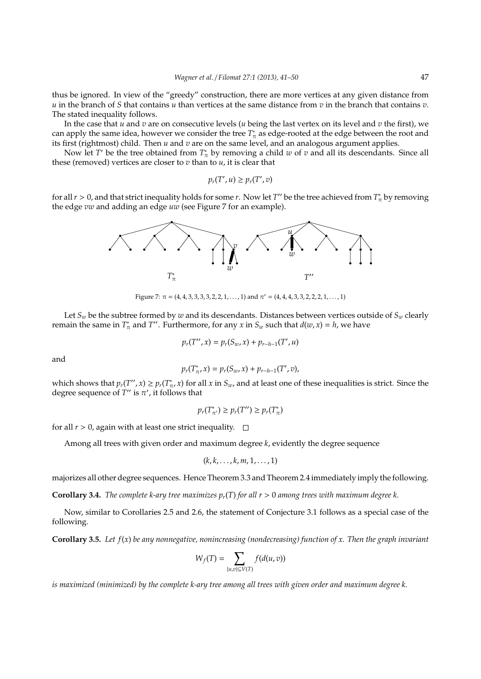thus be ignored. In view of the "greedy" construction, there are more vertices at any given distance from *u* in the branch of *S* that contains *u* than vertices at the same distance from *v* in the branch that contains *v*. The stated inequality follows.

In the case that *u* and *v* are on consecutive levels (*u* being the last vertex on its level and *v* the first), we can apply the same idea, however we consider the tree  $T^*_{\pi}$  as edge-rooted at the edge between the root and its first (rightmost) child. Then *u* and *v* are on the same level, and an analogous argument applies.

Now let *T*' be the tree obtained from  $T^*_{\pi}$  by removing a child  $w$  of  $v$  and all its descendants. Since all these (removed) vertices are closer to  $v$  than to  $u$ , it is clear that

$$
p_r(T', u) \geq p_r(T', v)
$$

for all  $r > 0$ , and that strict inequality holds for some *r*. Now let *T''* be the tree achieved from  $T^*_{\pi}$  by removing the edge *vw* and adding an edge *uw* (see Figure 7 for an example).



Figure 7:  $\pi = (4, 4, 3, 3, 3, 3, 2, 2, 1, \ldots, 1)$  and  $\pi' = (4, 4, 4, 3, 3, 2, 2, 2, 1, \ldots, 1)$ 

Let  $S_w$  be the subtree formed by  $w$  and its descendants. Distances between vertices outside of  $S_w$  clearly remain the same in  $T^*_{\pi}$  and  $T''$ . Furthermore, for any *x* in  $S_w$  such that  $d(w, x) = h$ , we have

$$
p_r(T'', x) = p_r(S_w, x) + p_{r-h-1}(T', u)
$$

and

$$
p_r(T^*_{\pi}, x) = p_r(S_w, x) + p_{r-h-1}(T', v),
$$

which shows that  $p_r(T'', x) \geq p_r(T^*_{\pi}, x)$  for all  $x$  in  $S_w$ , and at least one of these inequalities is strict. Since the degree sequence of  $T''$  is  $\pi'$ , it follows that

$$
p_r(T^*_{\pi'}) \ge p_r(T'') \ge p_r(T^*_{\pi})
$$

for all  $r > 0$ , again with at least one strict inequality.  $\square$ 

Among all trees with given order and maximum degree *k*, evidently the degree sequence

$$
(k,k,\ldots,k,m,1,\ldots,1)
$$

majorizes all other degree sequences. Hence Theorem 3.3 and Theorem 2.4 immediately imply the following.

**Corollary 3.4.** *The complete k-ary tree maximizes*  $p_r(T)$  *for all*  $r > 0$  *among trees with maximum degree k.* 

Now, similar to Corollaries 2.5 and 2.6, the statement of Conjecture 3.1 follows as a special case of the following.

**Corollary 3.5.** *Let f*(*x*) *be any nonnegative, nonincreasing (nondecreasing) function of x. Then the graph invariant*

$$
W_f(T)=\sum_{\{u,v\}\subseteq V(T)}f(d(u,v))
$$

*is maximized (minimized) by the complete k-ary tree among all trees with given order and maximum degree k.*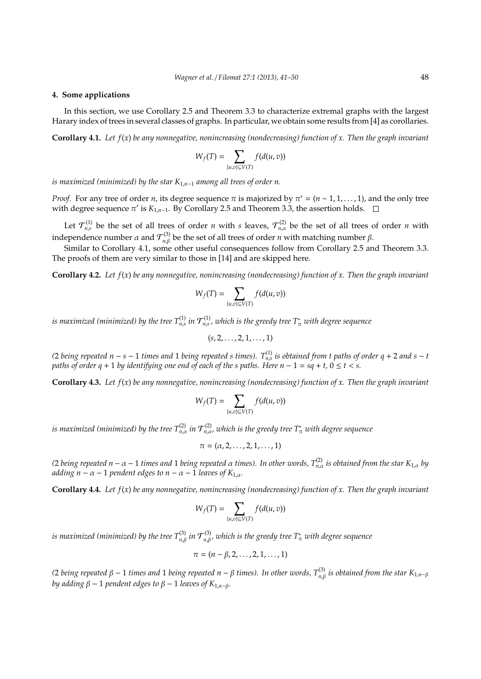## **4. Some applications**

In this section, we use Corollary 2.5 and Theorem 3.3 to characterize extremal graphs with the largest Harary index of trees in several classes of graphs. In particular, we obtain some results from [4] as corollaries.

**Corollary 4.1.** *Let f*(*x*) *be any nonnegative, nonincreasing (nondecreasing) function of x. Then the graph invariant*

$$
W_f(T)=\sum_{\{u,v\}\subseteq V(T)}f(d(u,v))
$$

*is maximized (minimized) by the star K*1,*n*−<sup>1</sup> *among all trees of order n.*

*Proof.* For any tree of order *n*, its degree sequence  $\pi$  is majorized by  $\pi' = (n-1,1,\ldots,1)$ , and the only tree with degree sequence  $\pi'$  is  $K_{1,n-1}$ . By Corollary 2.5 and Theorem 3.3, the assertion holds.

Let  $\mathcal{T}_{n,s}^{(1)}$  be the set of all trees of order *n* with *s* leaves,  $\mathcal{T}_{n,\alpha}^{(2)}$  be the set of all trees of order *n* with independence number  $\alpha$  and  $\mathcal{T}_{n,\beta}^{(3)}$  be the set of all trees of order *n* with matching number  $\beta$ .

Similar to Corollary 4.1, some other useful consequences follow from Corollary 2.5 and Theorem 3.3. The proofs of them are very similar to those in [14] and are skipped here.

**Corollary 4.2.** *Let f*(*x*) *be any nonnegative, nonincreasing (nondecreasing) function of x. Then the graph invariant*

$$
W_f(T)=\sum_{\{u,v\}\subseteq V(T)}f(d(u,v))
$$

is maximized (minimized) by the tree  $T_{n,s}^{(1)}$  in  ${\cal T}_{n,s}^{(1)}$  , which is the greedy tree  $T_\pi^*$  with degree sequence

$$
(s, 2, \ldots, 2, 1, \ldots, 1)
$$

*(*2 *being repeated n − s* − 1 *times and* 1 *being repeated s times*).  $T_{n,s}^{(1)}$  *is obtained from t paths of order q* + 2 *and s* − *t paths of order q* + 1 *by identifying one end of each of the s paths. Here n* − 1 = *sq* + *t,* 0 ≤ *t* < *s.*

**Corollary 4.3.** *Let f*(*x*) *be any nonnegative, nonincreasing (nondecreasing) function of x. Then the graph invariant*

$$
W_f(T) = \sum_{\{u,v\} \subseteq V(T)} f(d(u,v))
$$

is maximized (minimized) by the tree  $T_{n,\alpha}^{(2)}$  in  ${\cal T}_{n,\alpha}^{(2)}$ , which is the greedy tree  $T_\pi^*$  with degree sequence

$$
\pi=(\alpha,2,\ldots,2,1,\ldots,1)
$$

 $(2$  *being repeated n* − α − 1 *times and* 1 *being repeated α times). In other words,*  $T_{n,α}^{(2)}$  *is obtained from the star* K<sub>1,α</sub> *by adding*  $n - \alpha - 1$  *pendent edges to*  $n - \alpha - 1$  *leaves of*  $K_{1,\alpha}$ *.* 

**Corollary 4.4.** *Let f*(*x*) *be any nonnegative, nonincreasing (nondecreasing) function of x. Then the graph invariant*

$$
W_f(T)=\sum_{\{u,v\}\subseteq V(T)}f(d(u,v))
$$

is maximized (minimized) by the tree  $T^{(3)}_{n,\beta}$  in  ${\cal T}^{(3)}_{n,\beta}$ , which is the greedy tree  $T^*_\pi$  with degree sequence

$$
\pi = (n - \beta, 2, \dots, 2, 1, \dots, 1)
$$

 $(2$  *being repeated β* − 1 *times and* 1 *being repeated n* − β *times). In other words, T* $_{n,β}^{(3)}$  *is obtained from the star K<sub>1,<i>n*−β</sub> *by adding*  $β − 1$  *pendent edges to*  $β − 1$  *leaves of*  $K_{1,n-β}$ *.*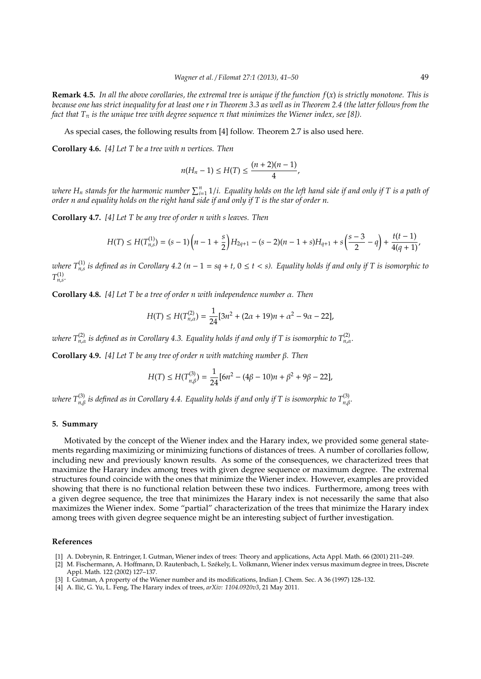**Remark 4.5.** *In all the above corollaries, the extremal tree is unique if the function f*(*x*) *is strictly monotone. This is because one has strict inequality for at least one r in Theorem 3.3 as well as in Theorem 2.4 (the latter follows from the fact that*  $T_{\pi}$  *is the unique tree with degree sequence*  $\pi$  *that minimizes the Wiener index, see* [8]).

As special cases, the following results from [4] follow. Theorem 2.7 is also used here.

**Corollary 4.6.** *[4] Let T be a tree with n vertices. Then*

$$
n(H_n-1) \le H(T) \le \frac{(n+2)(n-1)}{4},
$$

where  $H_n$  stands for the harmonic number  $\sum_{i=1}^n 1/i.$  Equality holds on the left hand side if and only if T is a path of *order n and equality holds on the right hand side if and only if T is the star of order n.*

**Corollary 4.7.** *[4] Let T be any tree of order n with s leaves. Then*

$$
H(T) \leq H(T_{n,s}^{(1)}) = (s-1)\left(n-1+\frac{s}{2}\right) H_{2q+1} - (s-2)(n-1+s) H_{q+1} + s\left(\frac{s-3}{2}-q\right) + \frac{t(t-1)}{4(q+1)},
$$

*where*  $T_{n,s}^{(1)}$  is defined as in Corollary 4.2 (n – 1 = sq + t, 0  $\leq$  t  $<$  s). Equality holds if and only if T is isomorphic to  $T^{(1)}_{n,s}$ .

**Corollary 4.8.** *[4] Let T be a tree of order n with independence number* α*. Then*

$$
H(T) \le H(T_{n,\alpha}^{(2)}) = \frac{1}{24} [3n^2 + (2\alpha + 19)n + \alpha^2 - 9\alpha - 22],
$$

 $\pi$  *where*  $T_{n,\alpha}^{(2)}$  *is defined as in Corollary 4.3. Equality holds if and only if T is isomorphic to*  $T_{n,\alpha}^{(2)}$ *.* 

**Corollary 4.9.** *[4] Let T be any tree of order n with matching number* β*. Then*

$$
H(T) \le H(T_{n,\beta}^{(3)}) = \frac{1}{24} [6n^2 - (4\beta - 10)n + \beta^2 + 9\beta - 22],
$$

 $a$  *uhere*  $T^{(3)}_{n,\beta}$  *is defined as in Corollary 4.4. Equality holds if and only if T is isomorphic to*  $T^{(3)}_{n,\beta}$ *.* 

#### **5. Summary**

Motivated by the concept of the Wiener index and the Harary index, we provided some general statements regarding maximizing or minimizing functions of distances of trees. A number of corollaries follow, including new and previously known results. As some of the consequences, we characterized trees that maximize the Harary index among trees with given degree sequence or maximum degree. The extremal structures found coincide with the ones that minimize the Wiener index. However, examples are provided showing that there is no functional relation between these two indices. Furthermore, among trees with a given degree sequence, the tree that minimizes the Harary index is not necessarily the same that also maximizes the Wiener index. Some "partial" characterization of the trees that minimize the Harary index among trees with given degree sequence might be an interesting subject of further investigation.

#### **References**

- [1] A. Dobrynin, R. Entringer, I. Gutman, Wiener index of trees: Theory and applications, Acta Appl. Math. 66 (2001) 211–249.
- [2] M. Fischermann, A. Hoffmann, D. Rautenbach, L. Szekely, L. Volkmann, Wiener index versus maximum degree in trees, Discrete ´ Appl. Math. 122 (2002) 127–137.
- [3] I. Gutman, A property of the Wiener number and its modifications, Indian J. Chem. Sec. A 36 (1997) 128–132.
- [4] A. Ilić, G. Yu, L. Feng, The Harary index of trees,  $arXiv: 1104.0920v3$ , 21 May 2011.